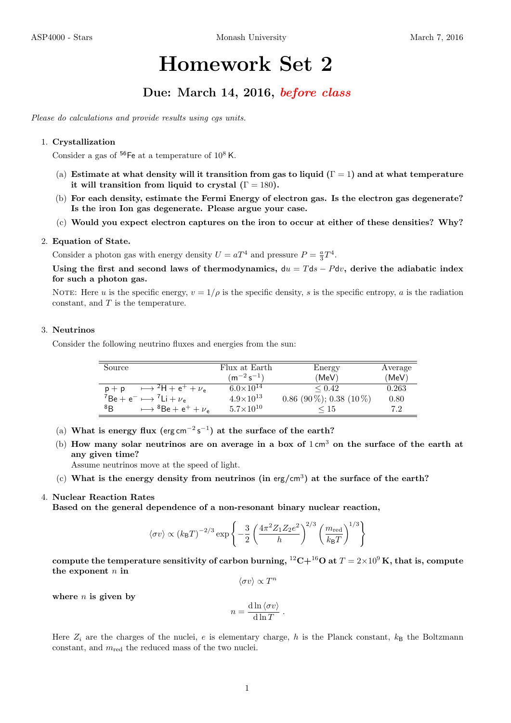# Homework Set 2

# Due: March 14, 2016, before class

Please do calculations and provide results using cgs units.

#### 1. Crystallization

Consider a gas of  $^{56}$ Fe at a temperature of  $10^8$  K.

- (a) Estimate at what density will it transition from gas to liquid  $(\Gamma = 1)$  and at what temperature it will transition from liquid to crystal  $(1) = 180$ .
- (b) For each density, estimate the Fermi Energy of electron gas. Is the electron gas degenerate? Is the iron Ion gas degenerate. Please argue your case.
- (c) Would you expect electron captures on the iron to occur at either of these densities? Why?

#### 2. Equation of State.

Consider a photon gas with energy density  $U = aT^4$  and pressure  $P = \frac{a}{3}T^4$ .

Using the first and second laws of thermodynamics,  $du = Tds - Pdv$ , derive the adiabatic index for such a photon gas.

NOTE: Here u is the specific energy,  $v = 1/\rho$  is the specific density, s is the specific entropy, a is the radiation constant, and  $T$  is the temperature.

### 3. Neutrinos

Consider the following neutrino fluxes and energies from the sun:

| Source                                                             | Flux at Earth      | Energy                     | Average |
|--------------------------------------------------------------------|--------------------|----------------------------|---------|
|                                                                    | $(m^{-2} s^{-1})$  | (MeV)                      | (MeV)   |
| $\rightarrow$ <sup>2</sup> H + e <sup>+</sup> + $\nu_e$<br>$p + p$ | $6.0\times10^{14}$ | $\leq 0.42$                | 0.263   |
| ${}^{7}Be + e^{-} \longmapsto {}^{7}Li + \nu_{e}$                  | $4.9\times10^{13}$ | $0.86$ (90 %); 0.38 (10 %) | 0.80    |
| ${}^{8}B$<br>$88e + e^+ + \nu_e$                                   | $5.7\times10^{10}$ | ≤ 15                       | 7.2     |

- (a) What is energy flux (erg cm<sup>-2</sup>s<sup>-1</sup>) at the surface of the earth?
- (b) How many solar neutrinos are on average in a box of  $1 \text{ cm}^3$  on the surface of the earth at any given time?

Assume neutrinos move at the speed of light.

(c) What is the energy density from neutrinos (in erg/cm<sup>3</sup>) at the surface of the earth?

### 4. Nuclear Reaction Rates

Based on the general dependence of a non-resonant binary nuclear reaction,

$$
\langle \sigma v \rangle \propto (k_{\text{B}}T)^{-2/3} \exp \left\{-\frac{3}{2} \left(\frac{4\pi^2 Z_1 Z_2 e^2}{h}\right)^{2/3} \left(\frac{m_{\text{red}}}{k_{\text{B}}T}\right)^{1/3}\right\}
$$

compute the temperature sensitivity of carbon burning,  ${}^{12}C+{}^{16}O$  at  $T=2\times10^9$  K, that is, compute the exponent  $n$  in

 $\langle \sigma v \rangle \propto T^n$ 

where  $n$  is given by

$$
n = \frac{\mathrm{d}\ln \langle \sigma v \rangle}{\mathrm{d}\ln T}.
$$

Here  $Z_i$  are the charges of the nuclei, e is elementary charge, h is the Planck constant,  $k_B$  the Boltzmann constant, and  $m_{\text{red}}$  the reduced mass of the two nuclei.